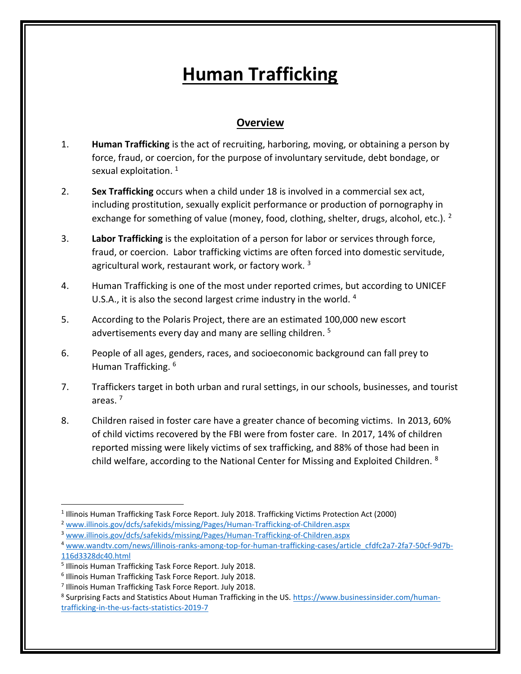## **Human Trafficking**

## **Overview**

- 1. **Human Trafficking** is the act of recruiting, harboring, moving, or obtaining a person by force, fraud, or coercion, for the purpose of involuntary servitude, debt bondage, or sexual exploitation.<sup>1</sup>
- 2. **Sex Trafficking** occurs when a child under 18 is involved in a commercial sex act, including prostitution, sexually explicit performance or production of pornography in exchange for something of value (money, food, clothing, shelter, drugs, alcohol, etc.). <sup>2</sup>
- 3. **Labor Trafficking** is the exploitation of a person for labor or services through force, fraud, or coercion. Labor trafficking victims are often forced into domestic servitude, agricultural work, restaurant work, or factory work.<sup>3</sup>
- 4. Human Trafficking is one of the most under reported crimes, but according to UNICEF U.S.A., it is also the second largest crime industry in the world. 4
- 5. According to the Polaris Project, there are an estimated 100,000 new escort advertisements every day and many are selling children.<sup>5</sup>
- 6. People of all ages, genders, races, and socioeconomic background can fall prey to Human Trafficking. <sup>6</sup>
- 7. Traffickers target in both urban and rural settings, in our schools, businesses, and tourist areas. <sup>7</sup>
- 8. Children raised in foster care have a greater chance of becoming victims. In 2013, 60% of child victims recovered by the FBI were from foster care. In 2017, 14% of children reported missing were likely victims of sex trafficking, and 88% of those had been in child welfare, according to the National Center for Missing and Exploited Children.  $8$

<sup>&</sup>lt;sup>1</sup> Illinois Human Trafficking Task Force Report. July 2018. Trafficking Victims Protection Act (2000)

<sup>&</sup>lt;sup>2</sup> [www.illinois.gov/dcfs/safekids/missing/Pages/Human-Trafficking-of-Children.aspx](http://www.illinois.gov/dcfs/safekids/missing/Pages/Human-Trafficking-of-Children.aspx)

<sup>3</sup> [www.illinois.gov/dcfs/safekids/missing/Pages/Human-Trafficking-of-Children.aspx](http://www.illinois.gov/dcfs/safekids/missing/Pages/Human-Trafficking-of-Children.aspx)

<sup>4</sup> [www.wandtv.com/news/illinois-ranks-among-top-for-human-trafficking-cases/article\\_cfdfc2a7-2fa7-50cf-9d7b-](http://www.wandtv.com/news/illinois-ranks-among-top-for-human-trafficking-cases/article_cfdfc2a7-2fa7-50cf-9d7b-%20%20116d3328dc40.html)[116d3328dc40.html](http://www.wandtv.com/news/illinois-ranks-among-top-for-human-trafficking-cases/article_cfdfc2a7-2fa7-50cf-9d7b-%20%20116d3328dc40.html) 

<sup>5</sup> Illinois Human Trafficking Task Force Report. July 2018.

<sup>6</sup> Illinois Human Trafficking Task Force Report. July 2018.

<sup>7</sup> Illinois Human Trafficking Task Force Report. July 2018.

<sup>&</sup>lt;sup>8</sup> Surprising Facts and Statistics About Human Trafficking in the US[. https://www.businessinsider.com/human](https://www.businessinsider.com/human-trafficking-in-the-us-facts-statistics-2019-7)[trafficking-in-the-us-facts-statistics-2019-7](https://www.businessinsider.com/human-trafficking-in-the-us-facts-statistics-2019-7)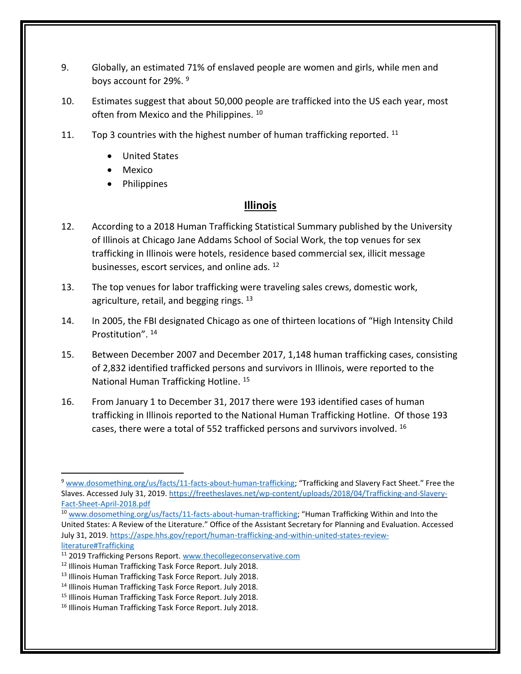- 9. Globally, an estimated 71% of enslaved people are women and girls, while men and boys account for 29%. <sup>9</sup>
- 10. Estimates suggest that about 50,000 people are trafficked into the US each year, most often from Mexico and the Philippines. <sup>10</sup>
- 11. Top 3 countries with the highest number of human trafficking reported.  $^{11}$ 
	- United States
	- Mexico
	- Philippines

## **Illinois**

- 12. According to a 2018 Human Trafficking Statistical Summary published by the University of Illinois at Chicago Jane Addams School of Social Work, the top venues for sex trafficking in Illinois were hotels, residence based commercial sex, illicit message businesses, escort services, and online ads. <sup>12</sup>
- 13. The top venues for labor trafficking were traveling sales crews, domestic work, agriculture, retail, and begging rings. <sup>13</sup>
- 14. In 2005, the FBI designated Chicago as one of thirteen locations of "High Intensity Child Prostitution". <sup>14</sup>
- 15. Between December 2007 and December 2017, 1,148 human trafficking cases, consisting of 2,832 identified trafficked persons and survivors in Illinois, were reported to the National Human Trafficking Hotline. <sup>15</sup>
- 16. From January 1 to December 31, 2017 there were 193 identified cases of human trafficking in Illinois reported to the National Human Trafficking Hotline. Of those 193 cases, there were a total of 552 trafficked persons and survivors involved. <sup>16</sup>

<sup>9</sup> [www.dosomething.org/us/facts/11-facts-about-human-trafficking](http://www.dosomething.org/us/facts/11-facts-about-human-trafficking); "Trafficking and Slavery Fact Sheet." Free the Slaves. Accessed July 31, 2019. [https://freetheslaves.net/wp-content/uploads/2018/04/Trafficking-and-Slavery-](https://freetheslaves.net/wp-content/uploads/2018/04/Trafficking-and-Slavery-Fact-Sheet-April-2018.pdf)[Fact-Sheet-April-2018.pdf](https://freetheslaves.net/wp-content/uploads/2018/04/Trafficking-and-Slavery-Fact-Sheet-April-2018.pdf) 

<sup>&</sup>lt;sup>10</sup> [www.dosomething.org/us/facts/11-facts-about-human-trafficking](http://www.dosomething.org/us/facts/11-facts-about-human-trafficking); "Human Trafficking Within and Into the United States: A Review of the Literature." Office of the Assistant Secretary for Planning and Evaluation. Accessed July 31, 2019[. https://aspe.hhs.gov/report/human-trafficking-and-within-united-states-review-](https://aspe.hhs.gov/report/human-trafficking-and-within-united-states-review-literature#Trafficking)

[literature#Trafficking](https://aspe.hhs.gov/report/human-trafficking-and-within-united-states-review-literature#Trafficking)

<sup>&</sup>lt;sup>11</sup> 2019 Trafficking Persons Report. [www.thecollegeconservative.com](http://www.thecollegeconservative.com/)

<sup>12</sup> Illinois Human Trafficking Task Force Report. July 2018.

<sup>&</sup>lt;sup>13</sup> Illinois Human Trafficking Task Force Report. July 2018.

<sup>14</sup> Illinois Human Trafficking Task Force Report. July 2018.

<sup>&</sup>lt;sup>15</sup> Illinois Human Trafficking Task Force Report. July 2018.

<sup>16</sup> Illinois Human Trafficking Task Force Report. July 2018.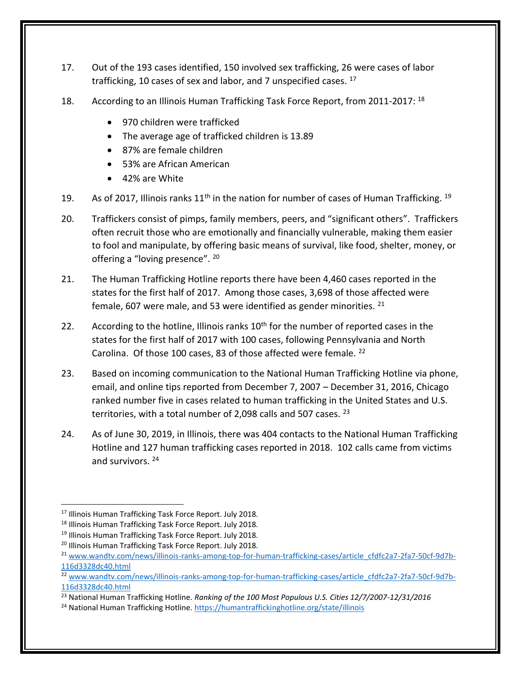- 17. Out of the 193 cases identified, 150 involved sex trafficking, 26 were cases of labor trafficking, 10 cases of sex and labor, and 7 unspecified cases.  $17$
- 18. According to an Illinois Human Trafficking Task Force Report, from 2011-2017: <sup>18</sup>
	- 970 children were trafficked
	- The average age of trafficked children is 13.89
	- 87% are female children
	- 53% are African American
	- 42% are White
- 19. As of 2017, Illinois ranks  $11<sup>th</sup>$  in the nation for number of cases of Human Trafficking.  $19$
- 20. Traffickers consist of pimps, family members, peers, and "significant others". Traffickers often recruit those who are emotionally and financially vulnerable, making them easier to fool and manipulate, by offering basic means of survival, like food, shelter, money, or offering a "loving presence". 20
- 21. The Human Trafficking Hotline reports there have been 4,460 cases reported in the states for the first half of 2017. Among those cases, 3,698 of those affected were female, 607 were male, and 53 were identified as gender minorities.  $21$
- 22. According to the hotline, Illinois ranks  $10<sup>th</sup>$  for the number of reported cases in the states for the first half of 2017 with 100 cases, following Pennsylvania and North Carolina. Of those 100 cases, 83 of those affected were female. <sup>22</sup>
- 23. Based on incoming communication to the National Human Trafficking Hotline via phone, email, and online tips reported from December 7, 2007 – December 31, 2016, Chicago ranked number five in cases related to human trafficking in the United States and U.S. territories, with a total number of 2,098 calls and 507 cases.  $^{23}$
- 24. As of June 30, 2019, in Illinois, there was 404 contacts to the National Human Trafficking Hotline and 127 human trafficking cases reported in 2018. 102 calls came from victims and survivors.<sup>24</sup>

<sup>17</sup> Illinois Human Trafficking Task Force Report. July 2018.

<sup>18</sup> Illinois Human Trafficking Task Force Report. July 2018.

<sup>&</sup>lt;sup>19</sup> Illinois Human Trafficking Task Force Report. July 2018.

<sup>20</sup> Illinois Human Trafficking Task Force Report. July 2018.

<sup>&</sup>lt;sup>21</sup> [www.wandtv.com/news/illinois-ranks-among-top-for-human-trafficking-cases/article\\_cfdfc2a7-2fa7-50cf-9d7b-](http://www.wandtv.com/news/illinois-ranks-among-top-for-human-trafficking-cases/article_cfdfc2a7-2fa7-50cf-9d7b-%20%20116d3328dc40.html)[116d3328dc40.html](http://www.wandtv.com/news/illinois-ranks-among-top-for-human-trafficking-cases/article_cfdfc2a7-2fa7-50cf-9d7b-%20%20116d3328dc40.html)

<sup>&</sup>lt;sup>22</sup> [www.wandtv.com/news/illinois-ranks-among-top-for-human-trafficking-cases/article\\_cfdfc2a7-2fa7-50cf-9d7b-](http://www.wandtv.com/news/illinois-ranks-among-top-for-human-trafficking-cases/article_cfdfc2a7-2fa7-50cf-9d7b-%20%20116d3328dc40.html)[116d3328dc40.html](http://www.wandtv.com/news/illinois-ranks-among-top-for-human-trafficking-cases/article_cfdfc2a7-2fa7-50cf-9d7b-%20%20116d3328dc40.html)

<sup>23</sup> National Human Trafficking Hotline. *Ranking of the 100 Most Populous U.S. Cities 12/7/2007-12/31/2016*

<sup>&</sup>lt;sup>24</sup> National Human Trafficking Hotline[. https://humantraffickinghotline.org/state/illinois](https://humantraffickinghotline.org/state/illinois)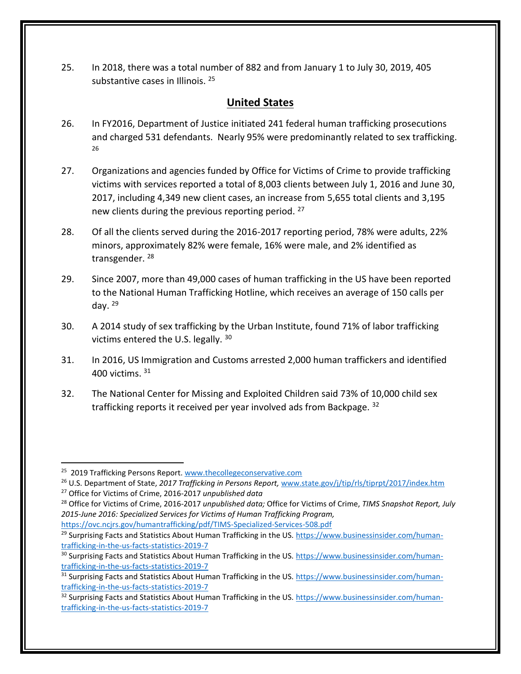25. In 2018, there was a total number of 882 and from January 1 to July 30, 2019, 405 substantive cases in Illinois.<sup>25</sup>

## **United States**

- 26. In FY2016, Department of Justice initiated 241 federal human trafficking prosecutions and charged 531 defendants. Nearly 95% were predominantly related to sex trafficking. 26
- 27. Organizations and agencies funded by Office for Victims of Crime to provide trafficking victims with services reported a total of 8,003 clients between July 1, 2016 and June 30, 2017, including 4,349 new client cases, an increase from 5,655 total clients and 3,195 new clients during the previous reporting period.<sup>27</sup>
- 28. Of all the clients served during the 2016-2017 reporting period, 78% were adults, 22% minors, approximately 82% were female, 16% were male, and 2% identified as transgender. 28
- 29. Since 2007, more than 49,000 cases of human trafficking in the US have been reported to the National Human Trafficking Hotline, which receives an average of 150 calls per day. <sup>29</sup>
- 30. A 2014 study of sex trafficking by the Urban Institute, found 71% of labor trafficking victims entered the U.S. legally. <sup>30</sup>
- 31. In 2016, US Immigration and Customs arrested 2,000 human traffickers and identified 400 victims. 31
- 32. The National Center for Missing and Exploited Children said 73% of 10,000 child sex trafficking reports it received per year involved ads from Backpage. 32

<sup>&</sup>lt;sup>25</sup> 2019 Trafficking Persons Report. [www.thecollegeconservative.com](http://www.thecollegeconservative.com/)

<sup>26</sup> U.S. Department of State, *2017 Trafficking in Persons Report,* [www.state.gov/j/tip/rls/tiprpt/2017/index.htm](http://www.state.gov/j/tip/rls/tiprpt/2017/index.htm) 

<sup>27</sup> Office for Victims of Crime, 2016-2017 *unpublished data*

<sup>28</sup> Office for Victims of Crime, 2016-2017 *unpublished data;* Office for Victims of Crime, *TIMS Snapshot Report, July 2015-June 2016: Specialized Services for Victims of Human Trafficking Program,*  <https://ovc.ncjrs.gov/humantrafficking/pdf/TIMS-Specialized-Services-508.pdf>

<sup>&</sup>lt;sup>29</sup> Surprising Facts and Statistics About Human Trafficking in the US. [https://www.businessinsider.com/human](https://www.businessinsider.com/human-trafficking-in-the-us-facts-statistics-2019-7)[trafficking-in-the-us-facts-statistics-2019-7](https://www.businessinsider.com/human-trafficking-in-the-us-facts-statistics-2019-7)

<sup>&</sup>lt;sup>30</sup> Surprising Facts and Statistics About Human Trafficking in the US. [https://www.businessinsider.com/human](https://www.businessinsider.com/human-trafficking-in-the-us-facts-statistics-2019-7)[trafficking-in-the-us-facts-statistics-2019-7](https://www.businessinsider.com/human-trafficking-in-the-us-facts-statistics-2019-7)

<sup>&</sup>lt;sup>31</sup> Surprising Facts and Statistics About Human Trafficking in the US. [https://www.businessinsider.com/human](https://www.businessinsider.com/human-trafficking-in-the-us-facts-statistics-2019-7)[trafficking-in-the-us-facts-statistics-2019-7](https://www.businessinsider.com/human-trafficking-in-the-us-facts-statistics-2019-7)

<sup>&</sup>lt;sup>32</sup> Surprising Facts and Statistics About Human Trafficking in the US. [https://www.businessinsider.com/human](https://www.businessinsider.com/human-trafficking-in-the-us-facts-statistics-2019-7)[trafficking-in-the-us-facts-statistics-2019-7](https://www.businessinsider.com/human-trafficking-in-the-us-facts-statistics-2019-7)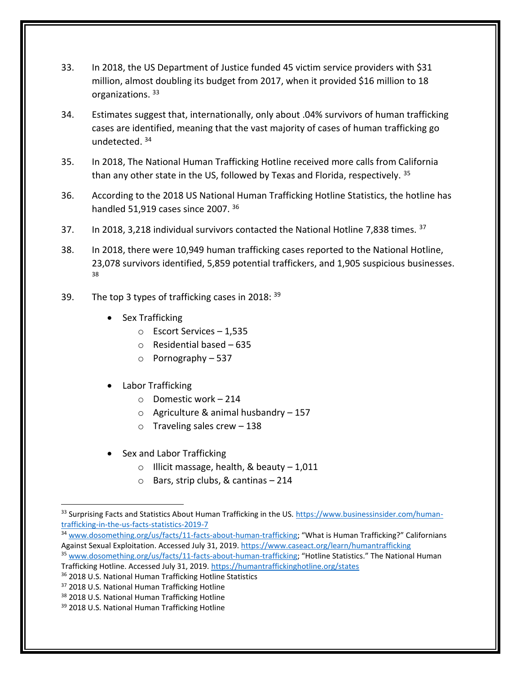- 33. In 2018, the US Department of Justice funded 45 victim service providers with \$31 million, almost doubling its budget from 2017, when it provided \$16 million to 18 organizations. <sup>33</sup>
- 34. Estimates suggest that, internationally, only about .04% survivors of human trafficking cases are identified, meaning that the vast majority of cases of human trafficking go undetected. <sup>34</sup>
- 35. In 2018, The National Human Trafficking Hotline received more calls from California than any other state in the US, followed by Texas and Florida, respectively.  $35$
- 36. According to the 2018 US National Human Trafficking Hotline Statistics, the hotline has handled 51,919 cases since 2007. 36
- 37. In 2018, 3,218 individual survivors contacted the National Hotline 7,838 times. <sup>37</sup>
- 38. In 2018, there were 10,949 human trafficking cases reported to the National Hotline, 23,078 survivors identified, 5,859 potential traffickers, and 1,905 suspicious businesses. 38
- 39. The top 3 types of trafficking cases in 2018:  $39$ 
	- Sex Trafficking
		- o Escort Services 1,535
		- o Residential based 635
		- o Pornography 537
	- Labor Trafficking
		- o Domestic work 214
		- $\circ$  Agriculture & animal husbandry 157
		- $\circ$  Traveling sales crew 138
	- Sex and Labor Trafficking
		- o Illicit massage, health, & beauty 1,011
		- o Bars, strip clubs, & cantinas 214

<sup>34</sup> [www.dosomething.org/us/facts/11-facts-about-human-trafficking](http://www.dosomething.org/us/facts/11-facts-about-human-trafficking); "What is Human Trafficking?" Californians Against Sexual Exploitation. Accessed July 31, 2019[. https://www.caseact.org/learn/humantrafficking](https://www.caseact.org/learn/humantrafficking) 

<sup>&</sup>lt;sup>33</sup> Surprising Facts and Statistics About Human Trafficking in the US. [https://www.businessinsider.com/human](https://www.businessinsider.com/human-trafficking-in-the-us-facts-statistics-2019-7)[trafficking-in-the-us-facts-statistics-2019-7](https://www.businessinsider.com/human-trafficking-in-the-us-facts-statistics-2019-7)

<sup>&</sup>lt;sup>35</sup> [www.dosomething.org/us/facts/11-facts-about-human-trafficking](http://www.dosomething.org/us/facts/11-facts-about-human-trafficking); "Hotline Statistics." The National Human Trafficking Hotline. Accessed July 31, 2019.<https://humantraffickinghotline.org/states>

<sup>36</sup> 2018 U.S. National Human Trafficking Hotline Statistics

<sup>37</sup> 2018 U.S. National Human Trafficking Hotline

<sup>38 2018</sup> U.S. National Human Trafficking Hotline

<sup>39 2018</sup> U.S. National Human Trafficking Hotline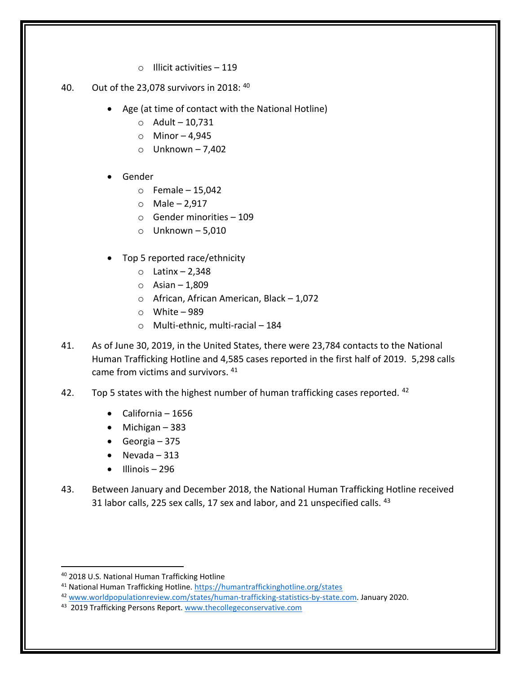- o Illicit activities 119
- 40. Out of the 23,078 survivors in 2018:  $40$ 
	- Age (at time of contact with the National Hotline)
		- $O$  Adult 10,731
		- $\circ$  Minor 4,945
		- $\circ$  Unknown 7,402
	- Gender
		- $\circ$  Female 15,042
		- $\circ$  Male 2,917
		- o Gender minorities 109
		- $\circ$  Unknown 5,010
	- Top 5 reported race/ethnicity
		- $\circ$  Latinx 2,348
		- $\circ$  Asian 1,809
		- o African, African American, Black 1,072
		- $\circ$  White 989
		- o Multi-ethnic, multi-racial 184
- 41. As of June 30, 2019, in the United States, there were 23,784 contacts to the National Human Trafficking Hotline and 4,585 cases reported in the first half of 2019. 5,298 calls came from victims and survivors. <sup>41</sup>
- 42. Top 5 states with the highest number of human trafficking cases reported.  $42$ 
	- California 1656
	- Michigan 383
	- Georgia 375
	- Nevada 313
	- $\bullet$  Illinois 296
- 43. Between January and December 2018, the National Human Trafficking Hotline received 31 labor calls, 225 sex calls, 17 sex and labor, and 21 unspecified calls. <sup>43</sup>

<sup>40</sup> 2018 U.S. National Human Trafficking Hotline

<sup>41</sup> National Human Trafficking Hotline[. https://humantraffickinghotline.org/states](https://humantraffickinghotline.org/states)

<sup>42</sup> [www.worldpopulationreview.com/states/human-trafficking-statistics-by-state.com.](http://www.worldpopulationreview.com/states/human-trafficking-statistics-by-state.com) January 2020.

<sup>&</sup>lt;sup>43</sup> 2019 Trafficking Persons Report. [www.thecollegeconservative.com](http://www.thecollegeconservative.com/)